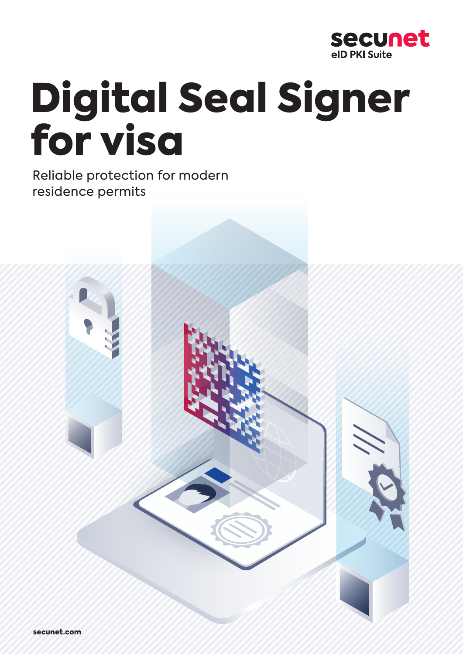

# Digital Seal Signer for visa

Reliable protection for modern residence permits